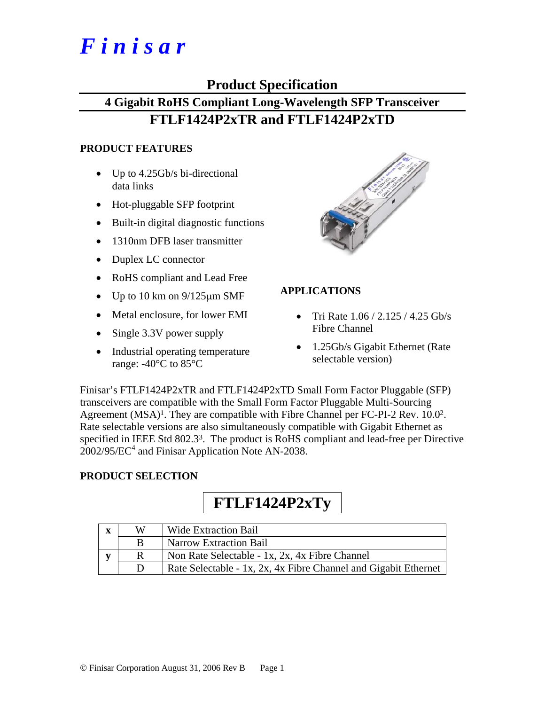# *F i n i s a r*

## **Product Specification**

## **4 Gigabit RoHS Compliant Long-Wavelength SFP Transceiver FTLF1424P2xTR and FTLF1424P2xTD**

#### **PRODUCT FEATURES**

- Up to 4.25Gb/s bi-directional data links
- Hot-pluggable SFP footprint
- Built-in digital diagnostic functions
- 1310nm DFB laser transmitter
- Duplex LC connector
- RoHS compliant and Lead Free
- Up to 10 km on  $9/125 \mu m$  SMF
- Metal enclosure, for lower EMI
- Single 3.3V power supply
- Industrial operating temperature range: -40°C to 85°C



#### **APPLICATIONS**

- Tri Rate  $1.06 / 2.125 / 4.25$  Gb/s Fibre Channel
- 1.25Gb/s Gigabit Ethernet (Rate selectable version)

Finisar's FTLF1424P2xTR and FTLF1424P2xTD Small Form Factor Pluggable (SFP) transceivers are compatible with the Small Form Factor Pluggable Multi-Sourcing Agreement (MSA)<sup>1</sup>. They are compatible with Fibre Channel per FC-PI-2 Rev. 10.0<sup>2</sup>. Rate selectable versions are also simultaneously compatible with Gigabit Ethernet as specified in IEEE Std 802.3<sup>3</sup>. The product is RoHS compliant and lead-free per Directive  $2002/95/EC^4$  and Finisar Application Note AN-2038.

#### **PRODUCT SELECTION**

## **FTLF1424P2xTy**

| $\overline{\mathbf{X}}$ | W | <b>Wide Extraction Bail</b>                                     |
|-------------------------|---|-----------------------------------------------------------------|
|                         | B | <b>Narrow Extraction Bail</b>                                   |
|                         |   | Non Rate Selectable - 1x, 2x, 4x Fibre Channel                  |
|                         | D | Rate Selectable - 1x, 2x, 4x Fibre Channel and Gigabit Ethernet |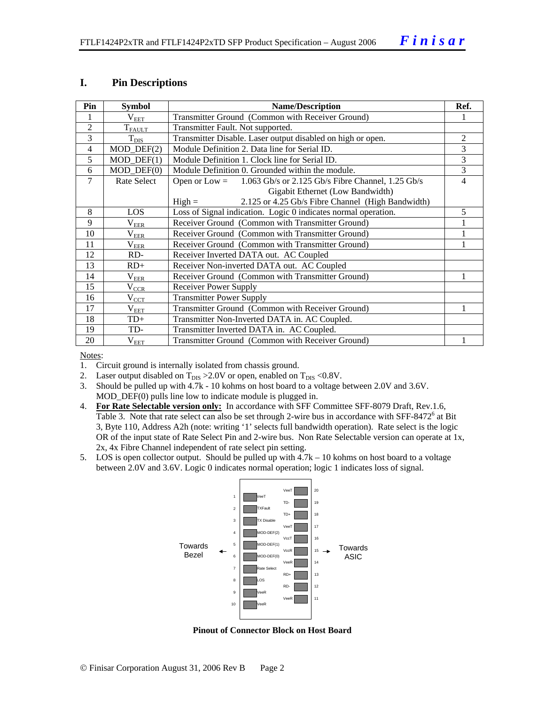#### **I. Pin Descriptions**

| Pin            | <b>Symbol</b>               | <b>Name/Description</b>                                              |   |  |  |  |  |
|----------------|-----------------------------|----------------------------------------------------------------------|---|--|--|--|--|
|                | $\rm V_{EET}$               | Transmitter Ground (Common with Receiver Ground)                     |   |  |  |  |  |
| $\overline{2}$ | $T_{\text{FALLT}}$          | Transmitter Fault. Not supported.                                    |   |  |  |  |  |
| 3              | $T_{\text{DIS}}$            | Transmitter Disable. Laser output disabled on high or open.          | 2 |  |  |  |  |
| $\overline{4}$ | $MOD_$ DEF(2)               | Module Definition 2. Data line for Serial ID.                        |   |  |  |  |  |
| 5              | $MOD_$ <del>DEF</del> $(1)$ | Module Definition 1. Clock line for Serial ID.                       | 3 |  |  |  |  |
| 6              | $MOD$ $DEF(0)$              | Module Definition 0. Grounded within the module.                     | 3 |  |  |  |  |
| 7              | Rate Select                 | 1.063 Gb/s or 2.125 Gb/s Fibre Channel, 1.25 Gb/s<br>Open or $Low =$ | 4 |  |  |  |  |
|                |                             | Gigabit Ethernet (Low Bandwidth)                                     |   |  |  |  |  |
|                |                             | 2.125 or 4.25 Gb/s Fibre Channel (High Bandwidth)<br>$High =$        |   |  |  |  |  |
| 8              | LOS.                        | Loss of Signal indication. Logic 0 indicates normal operation.       | 5 |  |  |  |  |
| 9              | $\rm V_{EER}$               | Receiver Ground (Common with Transmitter Ground)                     |   |  |  |  |  |
| 10             | $\rm V_{\rm EER}$           | Receiver Ground (Common with Transmitter Ground)                     |   |  |  |  |  |
| 11             | $\rm V_{\rm EER}$           | Receiver Ground (Common with Transmitter Ground)                     |   |  |  |  |  |
| 12             | RD-                         | Receiver Inverted DATA out. AC Coupled                               |   |  |  |  |  |
| 13             | $RD+$                       | Receiver Non-inverted DATA out. AC Coupled                           |   |  |  |  |  |
| 14             | $\rm V_{EER}$               | Receiver Ground (Common with Transmitter Ground)                     |   |  |  |  |  |
| 15             | $V_{\underline{CCR}}$       | <b>Receiver Power Supply</b>                                         |   |  |  |  |  |
| 16             | $\rm V_{CCT}$               | <b>Transmitter Power Supply</b>                                      |   |  |  |  |  |
| 17             | $V_{EET}$                   | Transmitter Ground (Common with Receiver Ground)                     |   |  |  |  |  |
| 18             | TD+                         | Transmitter Non-Inverted DATA in. AC Coupled.                        |   |  |  |  |  |
| 19             | TD-                         | Transmitter Inverted DATA in. AC Coupled.                            |   |  |  |  |  |
| 20             | $\rm V_{EET}$               | Transmitter Ground (Common with Receiver Ground)                     |   |  |  |  |  |

Notes:

- 1. Circuit ground is internally isolated from chassis ground.
- 2. Laser output disabled on  $T_{DIS} > 2.0V$  or open, enabled on  $T_{DIS} < 0.8V$ .
- 3. Should be pulled up with 4.7k 10 kohms on host board to a voltage between 2.0V and 3.6V. MOD\_DEF(0) pulls line low to indicate module is plugged in.
- 4. **For Rate Selectable version only:** In accordance with SFF Committee SFF-8079 Draft, Rev.1.6, Table 3. Note that rate select can also be set through 2-wire bus in accordance with SFF-8472<sup>6</sup> at Bit 3, Byte 110, Address A2h (note: writing '1' selects full bandwidth operation). Rate select is the logic OR of the input state of Rate Select Pin and 2-wire bus. Non Rate Selectable version can operate at 1x, 2x, 4x Fibre Channel independent of rate select pin setting.
- 5. LOS is open collector output. Should be pulled up with 4.7k 10 kohms on host board to a voltage between 2.0V and 3.6V. Logic 0 indicates normal operation; logic 1 indicates loss of signal.



**Pinout of Connector Block on Host Board**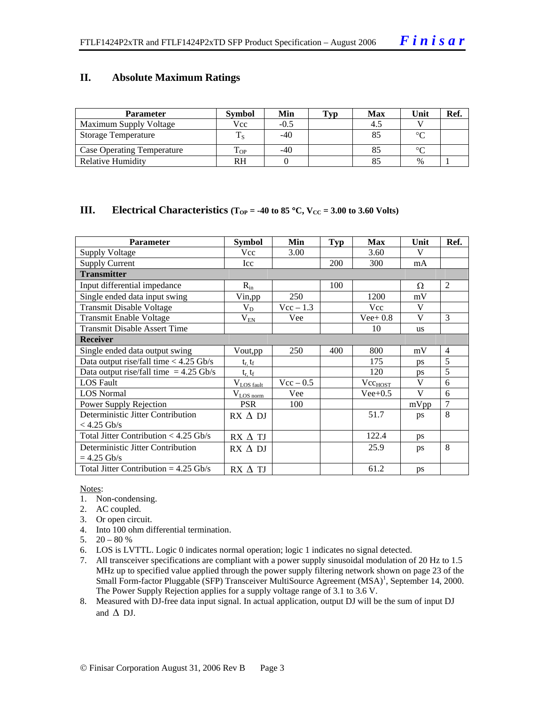#### **II. Absolute Maximum Ratings**

| <b>Parameter</b>                  | <b>Symbol</b> | Min    | Tvp | <b>Max</b> | Unit   | Ref. |
|-----------------------------------|---------------|--------|-----|------------|--------|------|
| Maximum Supply Voltage            | Vcc           | $-0.5$ |     | -4.5       |        |      |
| <b>Storage Temperature</b>        |               | $-40$  |     |            | $\sim$ |      |
| <b>Case Operating Temperature</b> | - OP          | -40    |     |            | $\sim$ |      |
| Relative Humidity                 | RH            |        |     |            | $\%$   |      |

#### **III.** Electrical Characteristics ( $T_{OP} = -40$  to 85 °C,  $V_{CC} = 3.00$  to 3.60 Volts)

| <b>Parameter</b>                         | <b>Symbol</b>             | Min         | <b>Typ</b> | <b>Max</b>   | Unit      | Ref.           |
|------------------------------------------|---------------------------|-------------|------------|--------------|-----------|----------------|
| Supply Voltage                           | Vcc                       | 3.00        |            | 3.60         | V         |                |
| <b>Supply Current</b>                    | Icc                       |             | 200        | 300          | mA        |                |
| <b>Transmitter</b>                       |                           |             |            |              |           |                |
| Input differential impedance             | $R_{in}$                  |             | 100        |              | Ω         | $\mathfrak{D}$ |
| Single ended data input swing            | Vin, pp                   | 250         |            | 1200         | mV        |                |
| <b>Transmit Disable Voltage</b>          | $V_D$                     | $Vec-1.3$   |            | Vcc          | V         |                |
| <b>Transmit Enable Voltage</b>           | $\rm V_{EN}$              | Vee         |            | $Vee+0.8$    | V         | 3              |
| <b>Transmit Disable Assert Time</b>      |                           |             |            | 10           | <b>us</b> |                |
| <b>Receiver</b>                          |                           |             |            |              |           |                |
| Single ended data output swing           | Vout, pp                  | 250         | 400        | 800          | mV        | $\overline{4}$ |
| Data output rise/fall time $<$ 4.25 Gb/s | $t_r$ , $t_f$             |             |            | 175          | <b>DS</b> | 5              |
| Data output rise/fall time $= 4.25$ Gb/s | $t_{\rm r}$ , $t_{\rm f}$ |             |            | 120          | ps        | 5              |
| <b>LOS Fault</b>                         | $V_{LOS \text{ fault}}$   | $Vec - 0.5$ |            | $Vec_{HOST}$ | V         | 6              |
| <b>LOS</b> Normal                        | $V_{LOS\,norm}$           | Vee         |            | $Vee+0.5$    | V         | 6              |
| Power Supply Rejection                   | <b>PSR</b>                | 100         |            |              | mVpp      | $\overline{7}$ |
| Deterministic Jitter Contribution        | $RX \wedge DI$            |             |            | 51.7         | ps        | 8              |
| $<$ 4.25 Gb/s                            |                           |             |            |              |           |                |
| Total Jitter Contribution $<$ 4.25 Gb/s  | $RX \wedge TI$            |             |            | 122.4        | ps        |                |
| Deterministic Jitter Contribution        | $RX \wedge DI$            |             |            | 25.9         | ps        | 8              |
| $= 4.25$ Gb/s                            |                           |             |            |              |           |                |
| Total Jitter Contribution = $4.25$ Gb/s  | $RX \wedge TI$            |             |            | 61.2         | ps        |                |

#### Notes:

- 1. Non-condensing.
- 2. AC coupled.
- 3. Or open circuit.
- 4. Into 100 ohm differential termination.
- 5.  $20 80 %$
- 6. LOS is LVTTL. Logic 0 indicates normal operation; logic 1 indicates no signal detected.
- 7. All transceiver specifications are compliant with a power supply sinusoidal modulation of 20 Hz to 1.5 MHz up to specified value applied through the power supply filtering network shown on page 23 of the Small Form-factor Pluggable (SFP) Transceiver MultiSource Agreement (MSA)<sup>1</sup>, September 14, 2000. The Power Supply Rejection applies for a supply voltage range of 3.1 to 3.6 V.
- 8. Measured with DJ-free data input signal. In actual application, output DJ will be the sum of input DJ and  $\Delta$  DJ.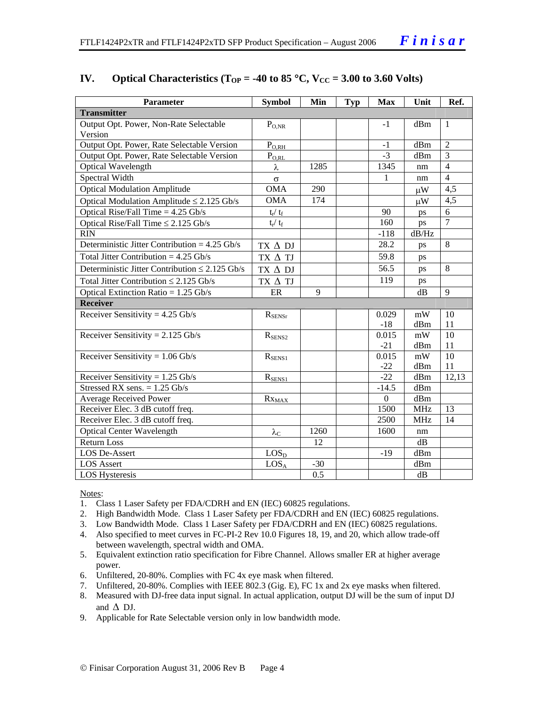| <b>Parameter</b>                                    | <b>Symbol</b>             | Min   | <b>Typ</b> | <b>Max</b>       | Unit        | Ref.           |
|-----------------------------------------------------|---------------------------|-------|------------|------------------|-------------|----------------|
| <b>Transmitter</b>                                  |                           |       |            |                  |             |                |
| Output Opt. Power, Non-Rate Selectable              | $P_{O,NR}$                |       |            | $-1$             | dBm         | $\mathbf{1}$   |
| Version                                             |                           |       |            |                  |             |                |
| Output Opt. Power, Rate Selectable Version          | $P_{O,RH}$                |       |            | $-1$             | dBm         | $\overline{2}$ |
| Output Opt. Power, Rate Selectable Version          | $P_{O,RL}$                |       |            | $-3$             | dBm         | 3              |
| <b>Optical Wavelength</b>                           | λ                         | 1285  |            | 1345             | nm          | $\overline{4}$ |
| Spectral Width                                      | $\sigma$                  |       |            | $\mathbf{1}$     | nm          | $\overline{4}$ |
| <b>Optical Modulation Amplitude</b>                 | <b>OMA</b>                | 290   |            |                  | $\mu$ W     | 4,5            |
| Optical Modulation Amplitude $\leq$ 2.125 Gb/s      | <b>OMA</b>                | 174   |            |                  | $\mu$ W     | 4,5            |
| Optical Rise/Fall Time $= 4.25$ Gb/s                | $t_r / t_f$               |       |            | 90               | ps          | 6              |
| Optical Rise/Fall Time $\leq$ 2.125 Gb/s            | $t_r / t_f$               |       |            | 160              | ps          | $\overline{7}$ |
| <b>RIN</b>                                          |                           |       |            | $-118$           | dB/Hz       |                |
| Deterministic Jitter Contribution = $4.25$ Gb/s     | TX $\Delta$ DJ            |       |            | 28.2             | ps          | 8              |
| Total Jitter Contribution = $4.25$ Gb/s             | TX $\Delta$ TJ            |       |            | 59.8             | ps          |                |
| Deterministic Jitter Contribution $\leq 2.125$ Gb/s | $TX \Delta DI$            |       |            | 56.5             | ps          | 8              |
| Total Jitter Contribution $\leq 2.125$ Gb/s         | TX $\Delta$ TJ            |       |            | 119              | ps          |                |
| Optical Extinction Ratio = $1.25$ Gb/s              | ER                        | 9     |            |                  | $\text{dB}$ | 9              |
| <b>Receiver</b>                                     |                           |       |            |                  |             |                |
| Receiver Sensitivity = $4.25$ Gb/s                  | $R_{\rm SENSr}$           |       |            | 0.029            | mW          | 10             |
|                                                     |                           |       |            | $-18$            | dBm         | 11             |
| Receiver Sensitivity = $2.125$ Gb/s                 | $R_{SENS2}$               |       |            | 0.015            | mW          | 10             |
|                                                     |                           |       |            | $-21$            | dBm         | 11             |
| Receiver Sensitivity = $1.06$ Gb/s                  | $R_{SENS1}$               |       |            | 0.015            | mW          | 10             |
|                                                     |                           |       |            | $-22$            | dBm         | 11             |
| Receiver Sensitivity = $1.25$ Gb/s                  | $R_{SENS1}$               |       |            | $-22$            | dBm         | 12,13          |
| Stressed RX sens. $= 1.25$ Gb/s                     |                           |       |            | $-14.5$          | dBm         |                |
| <b>Average Received Power</b>                       | $Rx_{MAX}$                |       |            | $\boldsymbol{0}$ | dBm         |                |
| Receiver Elec. 3 dB cutoff freq.                    |                           |       |            | 1500             | <b>MHz</b>  | 13             |
| Receiver Elec. 3 dB cutoff freq.                    |                           |       |            | 2500             | <b>MHz</b>  | 14             |
| <b>Optical Center Wavelength</b>                    | $\lambda_{\underline{C}}$ | 1260  |            | 1600             | nm          |                |
| <b>Return Loss</b>                                  |                           | 12    |            |                  | dB          |                |
| LOS De-Assert                                       | LOS <sub>D</sub>          |       |            | $-19$            | dBm         |                |
| <b>LOS</b> Assert                                   | LOS <sub>A</sub>          | $-30$ |            |                  | dBm         |                |
| LOS Hysteresis                                      |                           | 0.5   |            |                  | dB          |                |

#### **IV.** Optical Characteristics ( $T_{OP} = -40$  to 85 °C,  $V_{CC} = 3.00$  to 3.60 Volts)

Notes:

- 1. Class 1 Laser Safety per FDA/CDRH and EN (IEC) 60825 regulations.
- 2. High Bandwidth Mode. Class 1 Laser Safety per FDA/CDRH and EN (IEC) 60825 regulations.
- 3. Low Bandwidth Mode. Class 1 Laser Safety per FDA/CDRH and EN (IEC) 60825 regulations.
- 4. Also specified to meet curves in FC-PI-2 Rev 10.0 Figures 18, 19, and 20, which allow trade-off between wavelength, spectral width and OMA.
- 5. Equivalent extinction ratio specification for Fibre Channel. Allows smaller ER at higher average power.
- 6. Unfiltered, 20-80%. Complies with FC 4x eye mask when filtered.
- 7. Unfiltered, 20-80%. Complies with IEEE 802.3 (Gig. E), FC 1x and 2x eye masks when filtered.
- 8. Measured with DJ-free data input signal. In actual application, output DJ will be the sum of input DJ and  $\Delta$  DJ.
- 9. Applicable for Rate Selectable version only in low bandwidth mode.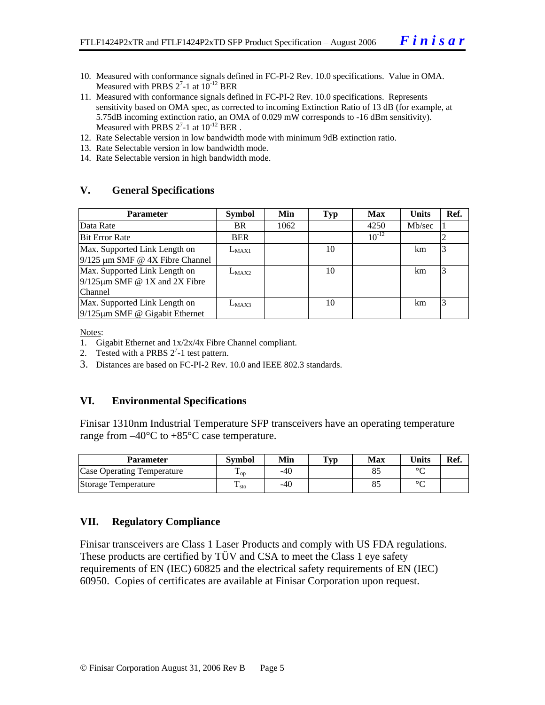- 10. Measured with conformance signals defined in FC-PI-2 Rev. 10.0 specifications. Value in OMA. Measured with PRBS  $2^7$ -1 at  $10^{-12}$  BER
- 11. Measured with conformance signals defined in FC-PI-2 Rev. 10.0 specifications. Represents sensitivity based on OMA spec, as corrected to incoming Extinction Ratio of 13 dB (for example, at 5.75dB incoming extinction ratio, an OMA of 0.029 mW corresponds to -16 dBm sensitivity). Measured with PRBS  $2^7$ -1 at  $10^{-12}$  BER.
- 12. Rate Selectable version in low bandwidth mode with minimum 9dB extinction ratio.
- 13. Rate Selectable version in low bandwidth mode.
- 14. Rate Selectable version in high bandwidth mode.

#### **V. General Specifications**

| <b>Parameter</b>                                                                       | <b>Symbol</b> | Min  | Typ | <b>Max</b> | <b>Units</b> | Ref. |
|----------------------------------------------------------------------------------------|---------------|------|-----|------------|--------------|------|
| Data Rate                                                                              | BR.           | 1062 |     | 4250       | Mb/sec       |      |
| <b>Bit Error Rate</b>                                                                  | <b>BER</b>    |      |     | $10^{-12}$ |              |      |
| Max. Supported Link Length on<br>$9/125$ µm SMF @ 4X Fibre Channel                     | $L_{MAX1}$    |      | 10  |            | km.          |      |
| Max. Supported Link Length on<br>$9/125 \mu m$ SMF @ 1X and 2X Fibre<br><b>Channel</b> | $L_{MAX2}$    |      | 10  |            | km           | 3    |
| Max. Supported Link Length on<br>$9/125 \mu m$ SMF @ Gigabit Ethernet                  | $L_{MAX3}$    |      | 10  |            | km           |      |

Notes:

- 1. Gigabit Ethernet and 1x/2x/4x Fibre Channel compliant.
- 2. Tested with a PRBS  $2^7$ -1 test pattern.
- 3. Distances are based on FC-PI-2 Rev. 10.0 and IEEE 802.3 standards.

#### **VI. Environmental Specifications**

Finisar 1310nm Industrial Temperature SFP transceivers have an operating temperature range from  $-40^{\circ}$ C to  $+85^{\circ}$ C case temperature.

| Parameter                         | Svmbol                 | Min | $\mathbf{Typ}$ | Max | <b>Units</b> | Ref. |
|-----------------------------------|------------------------|-----|----------------|-----|--------------|------|
| <b>Case Operating Temperature</b> | $\mathbf{L}_{OD}$      | -40 |                |     | $\sim$       |      |
| Storage Temperature               | m<br>$\frac{1}{1}$ sto | -40 |                |     | $\sim$       |      |

#### **VII. Regulatory Compliance**

Finisar transceivers are Class 1 Laser Products and comply with US FDA regulations. These products are certified by TÜV and CSA to meet the Class 1 eye safety requirements of EN (IEC) 60825 and the electrical safety requirements of EN (IEC) 60950. Copies of certificates are available at Finisar Corporation upon request.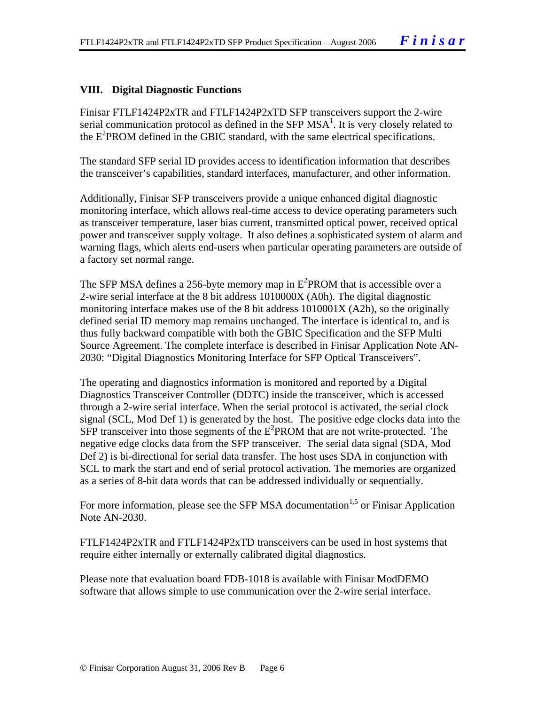#### **VIII. Digital Diagnostic Functions**

Finisar FTLF1424P2xTR and FTLF1424P2xTD SFP transceivers support the 2-wire serial communication protocol as defined in the SFP  $MSA<sup>1</sup>$ . It is very closely related to the E<sup>2</sup>PROM defined in the GBIC standard, with the same electrical specifications.

The standard SFP serial ID provides access to identification information that describes the transceiver's capabilities, standard interfaces, manufacturer, and other information.

Additionally, Finisar SFP transceivers provide a unique enhanced digital diagnostic monitoring interface, which allows real-time access to device operating parameters such as transceiver temperature, laser bias current, transmitted optical power, received optical power and transceiver supply voltage. It also defines a sophisticated system of alarm and warning flags, which alerts end-users when particular operating parameters are outside of a factory set normal range.

The SFP MSA defines a 256-byte memory map in  $E^2$ PROM that is accessible over a 2-wire serial interface at the 8 bit address 1010000X (A0h). The digital diagnostic monitoring interface makes use of the 8 bit address 1010001X (A2h), so the originally defined serial ID memory map remains unchanged. The interface is identical to, and is thus fully backward compatible with both the GBIC Specification and the SFP Multi Source Agreement. The complete interface is described in Finisar Application Note AN-2030: "Digital Diagnostics Monitoring Interface for SFP Optical Transceivers".

The operating and diagnostics information is monitored and reported by a Digital Diagnostics Transceiver Controller (DDTC) inside the transceiver, which is accessed through a 2-wire serial interface. When the serial protocol is activated, the serial clock signal (SCL, Mod Def 1) is generated by the host. The positive edge clocks data into the  $SFP$  transceiver into those segments of the  $E^2$ PROM that are not write-protected. The negative edge clocks data from the SFP transceiver. The serial data signal (SDA, Mod Def 2) is bi-directional for serial data transfer. The host uses SDA in conjunction with SCL to mark the start and end of serial protocol activation. The memories are organized as a series of 8-bit data words that can be addressed individually or sequentially.

For more information, please see the SFP MSA documentation<sup>1,5</sup> or Finisar Application Note AN-2030.

FTLF1424P2xTR and FTLF1424P2xTD transceivers can be used in host systems that require either internally or externally calibrated digital diagnostics.

Please note that evaluation board FDB-1018 is available with Finisar ModDEMO software that allows simple to use communication over the 2-wire serial interface.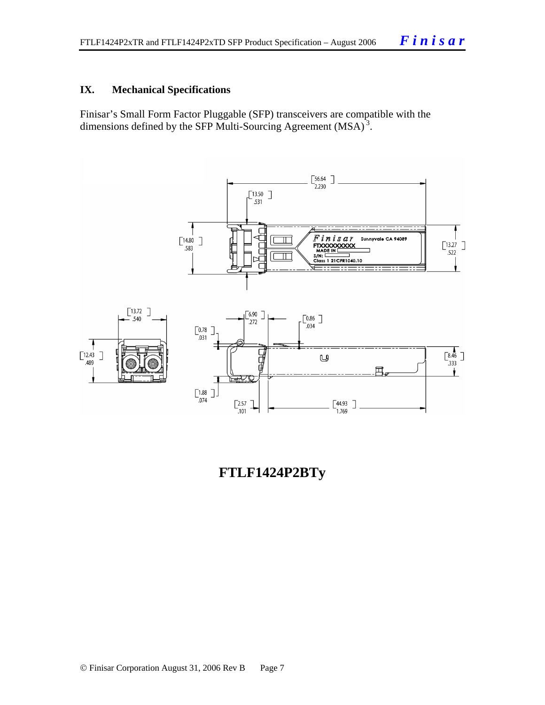#### **IX. Mechanical Specifications**

Finisar's Small Form Factor Pluggable (SFP) transceivers are compatible with the dimensions defined by the SFP Multi-Sourcing Agreement (MSA)<sup>3</sup>.



## **FTLF1424P2BTy**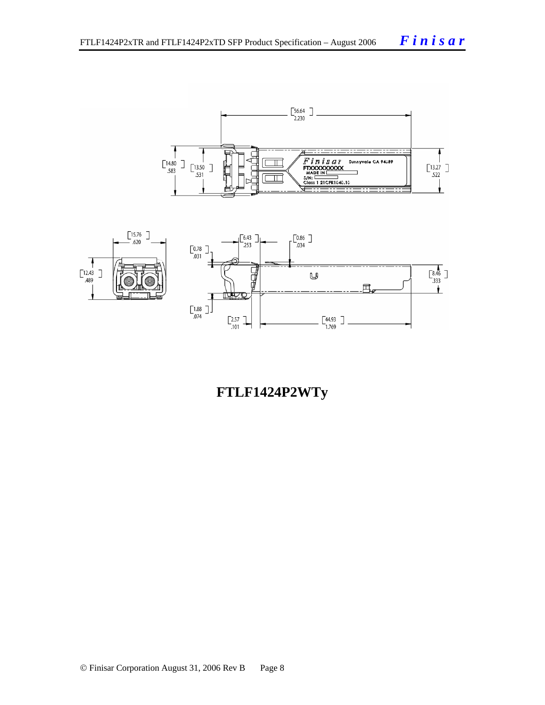



## **FTLF1424P2WTy**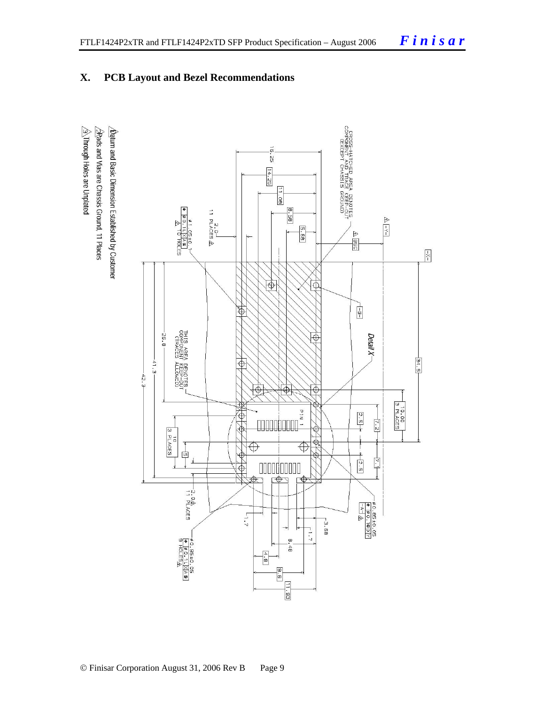## **X. PCB Layout and Bezel Recommendations**

 $\triangleq$ Through Holes are Unplated  $\Delta$  for and Basic Dimension Established by Customer  $\sqrt{2}$ Rads and Vias are Chassis Ground, 11 Places

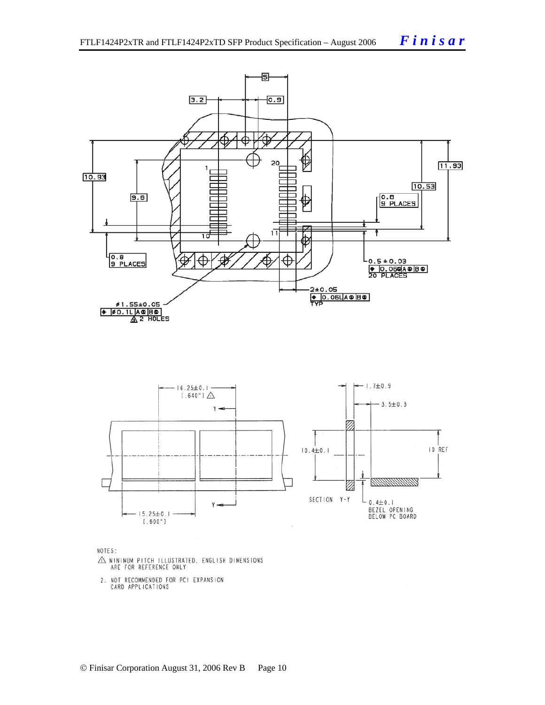



NOTES:

- $\triangle$  MINIMUM PITCH ILLUSTRATED, ENGLISH DIMENSIONS ARE FOR REFERENCE ONLY
- 2. NOT RECOMMENDED FOR PCI EXPANSION<br>CARD APPLICATIONS